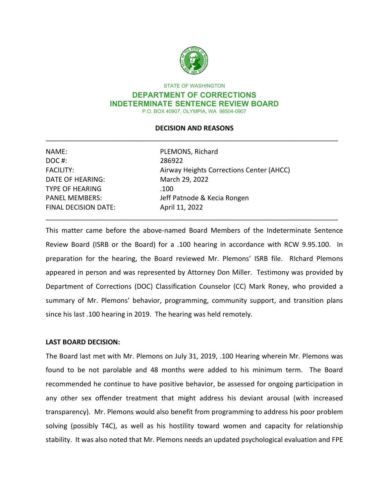

STATE OF WASHINGTON

#### **DEPARTMENT OF CORRECTIONS INDETERMINATE SENTENCE REVIEW BOARD**  P.O. BOX 40907, OLYMPIA, WA 98504-0907

# \_\_\_\_\_\_\_\_\_\_\_\_\_\_\_\_\_\_\_\_\_\_\_\_\_\_\_\_\_\_\_\_\_\_\_\_\_\_\_\_\_\_\_\_\_\_\_\_\_\_\_\_\_\_\_\_\_\_\_\_\_\_\_\_\_\_\_\_\_\_\_\_\_\_\_\_\_ **DECISION AND REASONS**

| NAME:                       | PLEMONS, Richard                         |  |
|-----------------------------|------------------------------------------|--|
| DOC#:                       | 286922                                   |  |
| <b>FACILITY:</b>            | Airway Heights Corrections Center (AHCC) |  |
| <b>DATE OF HEARING:</b>     | March 29, 2022                           |  |
| <b>TYPE OF HEARING</b>      | .100                                     |  |
| <b>PANEL MEMBERS:</b>       | Jeff Patnode & Kecia Rongen              |  |
| <b>FINAL DECISION DATE:</b> | April 11, 2022                           |  |
|                             |                                          |  |

 Review Board (ISRB or the Board) for a .100 hearing in accordance with RCW 9.95.100. In preparation for the hearing, the Board reviewed Mr. Plemons' ISRB file. RIchard Plemons appeared in person and was represented by Attorney Don Miller. Testimony was provided by Department of Corrections (DOC) Classification Counselor (CC) Mark Roney, who provided a since his last .100 hearing in 2019. The hearing was held remotely. This matter came before the above-named Board Members of the Indeterminate Sentence summary of Mr. Plemons' behavior, programming, community support, and transition plans

# **LAST BOARD DECISION:**

 found to be not parolable and 48 months were added to his minimum term. The Board any other sex offender treatment that might address his deviant arousal (with increased stability. It was also noted that Mr. Plemons needs an updated psychological evaluation and FPE The Board last met with Mr. Plemons on July 31, 2019, .100 Hearing wherein Mr. Plemons was recommended he continue to have positive behavior, be assessed for ongoing participation in transparency). Mr. Plemons would also benefit from programming to address his poor problem solving (possibly T4C), as well as his hostility toward women and capacity for relationship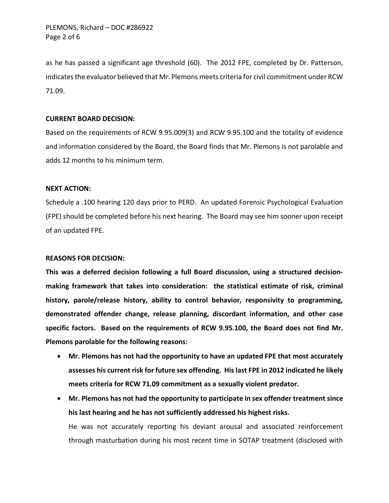as he has passed a significant age threshold (60). The 2012 FPE, completed by Dr. Patterson, indicates the evaluator believed that Mr. Plemons meets criteria for civil commitment under RCW 71.09.

# **CURRENT BOARD DECISION:**

Based on the requirements of RCW 9.95.009(3) and RCW 9.95.100 and the totality of evidence and information considered by the Board, the Board finds that Mr. Plemons is not parolable and adds 12 months to his minimum term.

### **NEXT ACTION:**

 Schedule a .100 hearing 120 days prior to PERD. An updated Forensic Psychological Evaluation (FPE) should be completed before his next hearing. The Board may see him sooner upon receipt of an updated FPE.

# **REASONS FOR DECISION:**

 **specific factors. Based on the requirements of RCW 9.95.100, the Board does not find Mr. Plemons parolable for the following reasons: This was a deferred decision following a full Board discussion, using a structured decisionmaking framework that takes into consideration: the statistical estimate of risk, criminal history, parole/release history, ability to control behavior, responsivity to programming, demonstrated offender change, release planning, discordant information, and other case** 

- **Mr. Plemons has not had the opportunity to have an updated FPE that most accurately assesses his current risk for future sex offending. His last FPE in 2012 indicated he likely meets criteria for RCW 71.09 commitment as a sexually violent predator.**
- **his last hearing and he has not sufficiently addressed his highest risks.**  He was not accurately reporting his deviant arousal and associated reinforcement through masturbation during his most recent time in SOTAP treatment (disclosed with • **Mr. Plemons has not had the opportunity to participate in sex offender treatment since**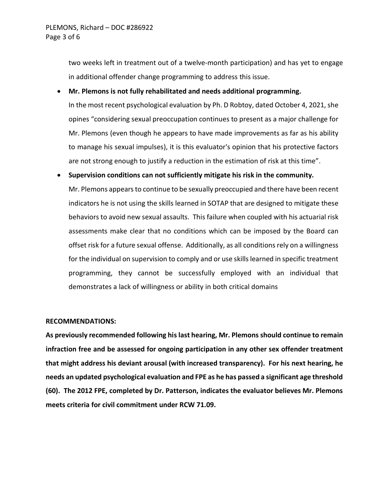in additional offender change programming to address this issue. two weeks left in treatment out of a twelve-month participation) and has yet to engage

### • **Mr. Plemons is not fully rehabilitated and needs additional programming.**

 to manage his sexual impulses), it is this evaluator's opinion that his protective factors are not strong enough to justify a reduction in the estimation of risk at this time". In the most recent psychological evaluation by Ph. D Robtoy, dated October 4, 2021, she opines "considering sexual preoccupation continues to present as a major challenge for Mr. Plemons (even though he appears to have made improvements as far as his ability

### • **Supervision conditions can not sufficiently mitigate his risk in the community.**

 Mr. Plemons appears to continue to be sexually preoccupied and there have been recent assessments make clear that no conditions which can be imposed by the Board can offset risk for a future sexual offense. Additionally, as all conditions rely on a willingness demonstrates a lack of willingness or ability in both critical domains indicators he is not using the skills learned in SOTAP that are designed to mitigate these behaviors to avoid new sexual assaults. This failure when coupled with his actuarial risk for the individual on supervision to comply and or use skills learned in specific treatment programming, they cannot be successfully employed with an individual that

#### **RECOMMENDATIONS:**

 **that might address his deviant arousal (with increased transparency). For his next hearing, he needs an updated psychological evaluation and FPE as he has passed a significant age threshold (60). The 2012 FPE, completed by Dr. Patterson, indicates the evaluator believes Mr. Plemons meets criteria for civil commitment under RCW 71.09. As previously recommended following his last hearing, Mr. Plemons should continue to remain infraction free and be assessed for ongoing participation in any other sex offender treatment**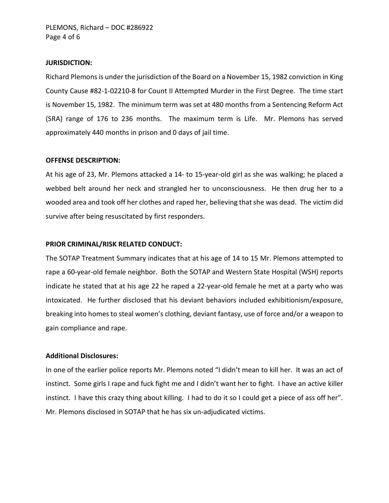#### **JURISDICTION:**

 Richard Plemons is under the jurisdiction of the Board on a November 15, 1982 conviction in King County Cause #82-1-02210-8 for Count II Attempted Murder in the First Degree. The time start is November 15, 1982. The minimum term was set at 480 months from a Sentencing Reform Act (SRA) range of 176 to 236 months. The maximum term is Life. Mr. Plemons has served approximately 440 months in prison and 0 days of jail time.

## **OFFENSE DESCRIPTION:**

 At his age of 23, Mr. Plemons attacked a 14- to 15-year-old girl as she was walking; he placed a webbed belt around her neck and strangled her to unconsciousness. He then drug her to a wooded area and took off her clothes and raped her, believing that she was dead. The victim did survive after being resuscitated by first responders.

### **PRIOR CRIMINAL/RISK RELATED CONDUCT:**

 The SOTAP Treatment Summary indicates that at his age of 14 to 15 Mr. Plemons attempted to rape a 60-year-old female neighbor. Both the SOTAP and Western State Hospital (WSH) reports indicate he stated that at his age 22 he raped a 22-year-old female he met at a party who was intoxicated. He further disclosed that his deviant behaviors included exhibitionism/exposure, breaking into homes to steal women's clothing, deviant fantasy, use of force and/or a weapon to gain compliance and rape.

### **Additional Disclosures:**

 In one of the earlier police reports Mr. Plemons noted "I didn't mean to kill her. It was an act of instinct. Some girls I rape and fuck fight me and I didn't want her to fight. I have an active killer instinct. I have this crazy thing about killing. I had to do it so I could get a piece of ass off her". Mr. Plemons disclosed in SOTAP that he has six un-adjudicated victims.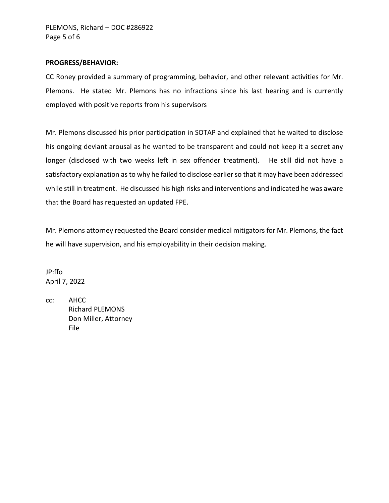### **PROGRESS/BEHAVIOR:**

 CC Roney provided a summary of programming, behavior, and other relevant activities for Mr. Plemons. He stated Mr. Plemons has no infractions since his last hearing and is currently employed with positive reports from his supervisors

 Mr. Plemons discussed his prior participation in SOTAP and explained that he waited to disclose longer (disclosed with two weeks left in sex offender treatment). He still did not have a that the Board has requested an updated FPE. his ongoing deviant arousal as he wanted to be transparent and could not keep it a secret any satisfactory explanation as to why he failed to disclose earlier so that it may have been addressed while still in treatment. He discussed his high risks and interventions and indicated he was aware

 he will have supervision, and his employability in their decision making. Mr. Plemons attorney requested the Board consider medical mitigators for Mr. Plemons, the fact

JP:ffo April 7, 2022

 $cc:$ cc: AHCC Richard PLEMONS Don Miller, Attorney File